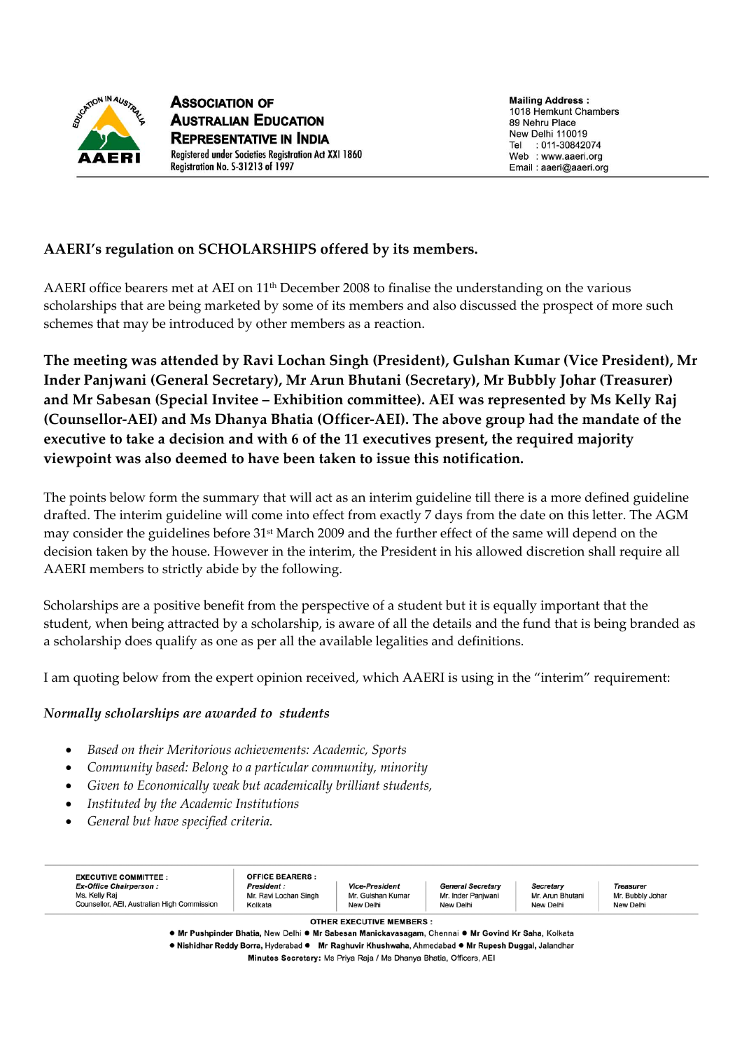

**Mailing Address:** 1018 Hemkunt Chambers 89 Nehru Place New Delhi 110019 Tel : 011-30842074 Web : www.aaeri.org Email: aaeri@aaeri.org

# **AAERI's regulation on SCHOLARSHIPS offered by its members.**

AAERI office bearers met at AEI on 11<sup>th</sup> December 2008 to finalise the understanding on the various scholarships that are being marketed by some of its members and also discussed the prospect of more such schemes that may be introduced by other members as a reaction.

**The meeting was attended by Ravi Lochan Singh (President), Gulshan Kumar (Vice President), Mr Inder Panjwani (General Secretary), Mr Arun Bhutani (Secretary), Mr Bubbly Johar (Treasurer) and Mr Sabesan (Special Invitee – Exhibition committee). AEI was represented by Ms Kelly Raj (Counsellor-AEI) and Ms Dhanya Bhatia (Officer-AEI). The above group had the mandate of the executive to take a decision and with 6 of the 11 executives present, the required majority viewpoint was also deemed to have been taken to issue this notification.** 

The points below form the summary that will act as an interim guideline till there is a more defined guideline drafted. The interim guideline will come into effect from exactly 7 days from the date on this letter. The AGM may consider the guidelines before 31st March 2009 and the further effect of the same will depend on the decision taken by the house. However in the interim, the President in his allowed discretion shall require all AAERI members to strictly abide by the following.

Scholarships are a positive benefit from the perspective of a student but it is equally important that the student, when being attracted by a scholarship, is aware of all the details and the fund that is being branded as a scholarship does qualify as one as per all the available legalities and definitions.

I am quoting below from the expert opinion received, which AAERI is using in the "interim" requirement:

#### *Normally scholarships are awarded to students*

- *Based on their Meritorious achievements: Academic, Sports*
- *Community based: Belong to a particular community, minority*
- *Given to Economically weak but academically brilliant students,*
- *Instituted by the Academic Institutions*
- *General but have specified criteria.*

| <b>EXECUTIVE COMMITTEE:</b>                                                                   | <b>OFFICE BEARERS:</b>                                |                                                         |                                                             |                                            |                                                   |
|-----------------------------------------------------------------------------------------------|-------------------------------------------------------|---------------------------------------------------------|-------------------------------------------------------------|--------------------------------------------|---------------------------------------------------|
| <b>Ex-Office Chairperson:</b><br>Ms. Kelly Raj<br>Counsellor, AEI, Australian High Commission | <b>President:</b><br>Mr. Ravi Lochan Singh<br>Kolkata | <b>Vice-President</b><br>Mr. Gulshan Kumar<br>New Delhi | <b>General Secretary</b><br>Mr. Inder Panjwani<br>New Delhi | Secretary<br>Mr. Arun Bhutani<br>New Delhi | <b>Treasurer</b><br>Mr. Bubbly Johar<br>New Delhi |
|                                                                                               |                                                       | <b>OTHER EXECUTIVE MEMBERS:</b><br>-- - -               |                                                             |                                            |                                                   |

● Mr Pushpinder Bhatia. New Delhi ● Mr Sabesan Manickavasagam. Chennai ● Mr Govind Kr Saha. Kolkata

· Nishidhar Reddy Borra, Hyderabad · Mr Raghuvir Khushwaha, Ahmedabad · Mr Rupesh Duggal, Jalandhar

Minutes Secretary: Ms Priya Raja / Ms Dhanya Bhatia, Officers, AEI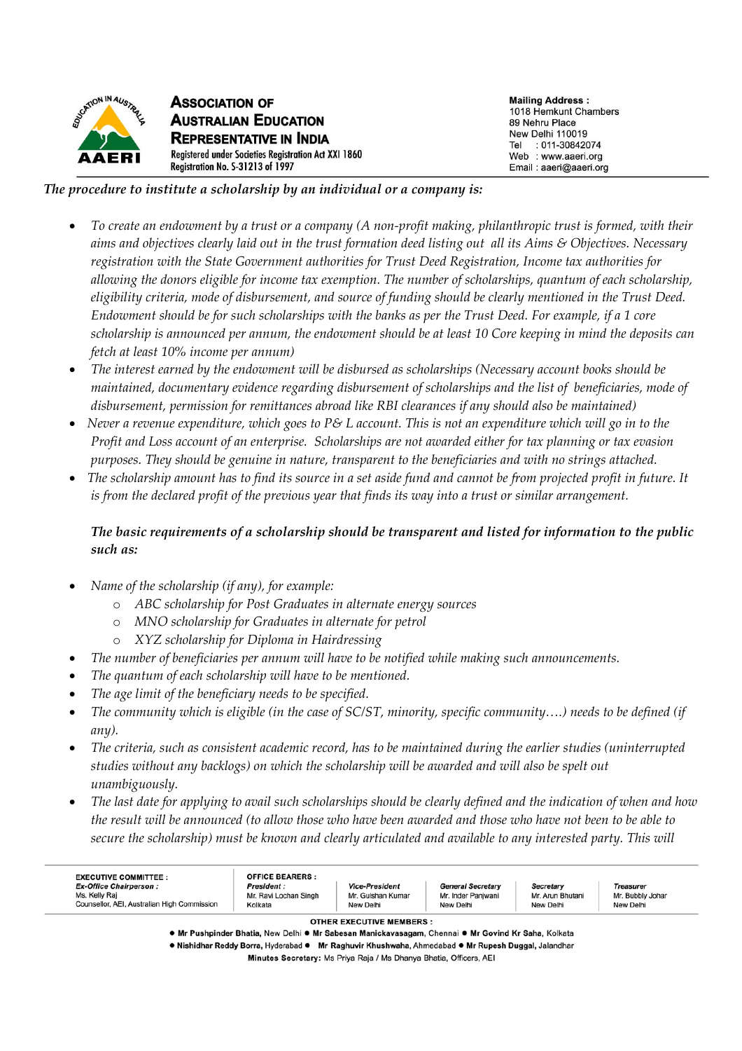

#### *The procedure to institute a scholarship by an individual or a company is:*

- *To create an endowment by a trust or a company (A non-profit making, philanthropic trust is formed, with their aims and objectives clearly laid out in the trust formation deed listing out all its Aims & Objectives. Necessary registration with the State Government authorities for Trust Deed Registration, Income tax authorities for allowing the donors eligible for income tax exemption. The number of scholarships, quantum of each scholarship, eligibility criteria, mode of disbursement, and source of funding should be clearly mentioned in the Trust Deed. Endowment should be for such scholarships with the banks as per the Trust Deed. For example, if a 1 core scholarship is announced per annum, the endowment should be at least 10 Core keeping in mind the deposits can fetch at least 10% income per annum)*
- *The interest earned by the endowment will be disbursed as scholarships (Necessary account books should be maintained, documentary evidence regarding disbursement of scholarships and the list of beneficiaries, mode of disbursement, permission for remittances abroad like RBI clearances if any should also be maintained)*
- *Never a revenue expenditure, which goes to P& L account. This is not an expenditure which will go in to the Profit and Loss account of an enterprise. Scholarships are not awarded either for tax planning or tax evasion purposes. They should be genuine in nature, transparent to the beneficiaries and with no strings attached.*
- *The scholarship amount has to find its source in a set aside fund and cannot be from projected profit in future. It is from the declared profit of the previous year that finds its way into a trust or similar arrangement.*

## *The basic requirements of a scholarship should be transparent and listed for information to the public such as:*

- *Name of the scholarship (if any), for example:* 
	- o *ABC scholarship for Post Graduates in alternate energy sources*
	- o *MNO scholarship for Graduates in alternate for petrol*
	- o *XYZ scholarship for Diploma in Hairdressing*
- *The number of beneficiaries per annum will have to be notified while making such announcements.*
- *The quantum of each scholarship will have to be mentioned.*
- *The age limit of the beneficiary needs to be specified.*
- *The community which is eligible (in the case of SC/ST, minority, specific community….) needs to be defined (if any).*
- *The criteria, such as consistent academic record, has to be maintained during the earlier studies (uninterrupted studies without any backlogs) on which the scholarship will be awarded and will also be spelt out unambiguously.*
- *The last date for applying to avail such scholarships should be clearly defined and the indication of when and how the result will be announced (to allow those who have been awarded and those who have not been to be able to secure the scholarship) must be known and clearly articulated and available to any interested party. This will*

| <b>EXECUTIVE COMMITTEE:</b><br><b>Ex-Office Chairperson:</b><br>Ms. Kelly Raj<br>Counsellor, AEI, Australian High Commission | <b>OFFICE BEARERS:</b><br><b>President:</b><br>Mr. Ravi Lochan Singh<br>Kolkata                     | <b>Vice-President</b><br>Mr. Gulshan Kumar<br>New Delhi | <b>General Secretary</b><br>Mr. Inder Panjwani<br>New Delhi | Secretary<br>Mr. Arun Bhutani<br>New Delhi | <b>Treasurer</b><br>Mr. Bubbly Johar<br>New Delhi |
|------------------------------------------------------------------------------------------------------------------------------|-----------------------------------------------------------------------------------------------------|---------------------------------------------------------|-------------------------------------------------------------|--------------------------------------------|---------------------------------------------------|
|                                                                                                                              | • Mr Pushpinder Bhatia, New Delhi • Mr Sabesan Manickavasagam, Chennai • Mr Govind Kr Saha, Kolkata | <b>OTHER EXECUTIVE MEMBERS:</b>                         |                                                             |                                            |                                                   |

· Nishidhar Reddy Borra, Hyderabad · Mr Raghuvir Khushwaha, Ahmedabad · Mr Rupesh Duggal, Jalandhar

Minutes Secretary: Ms Priya Raja / Ms Dhanya Bhatia, Officers, AEI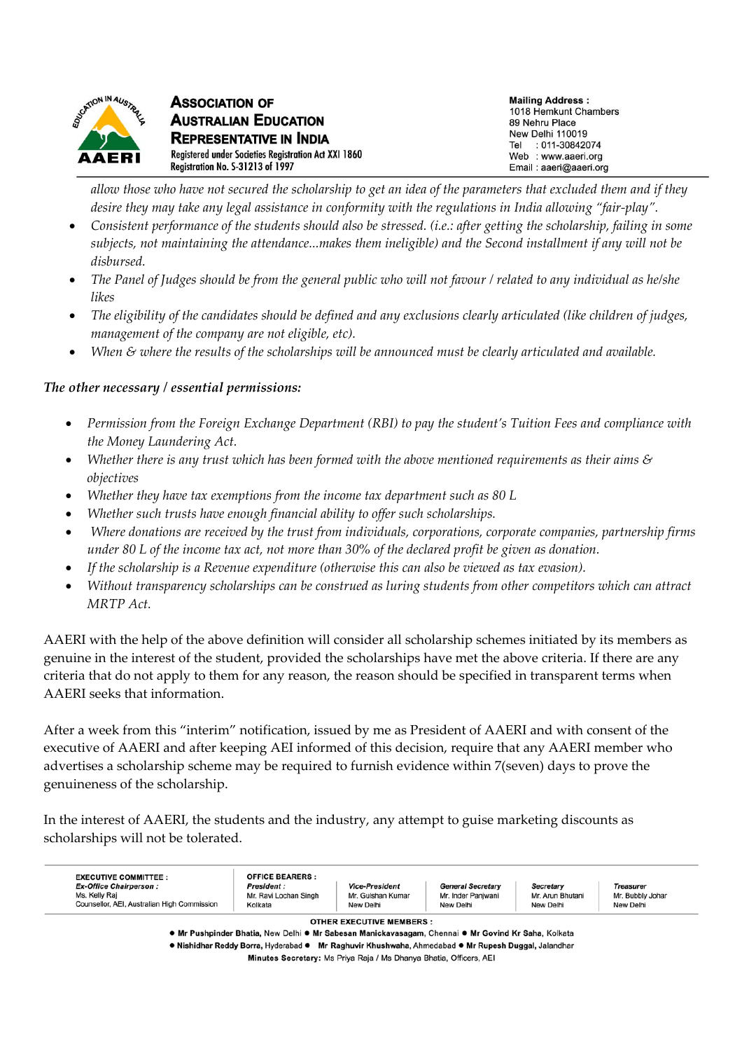

*allow those who have not secured the scholarship to get an idea of the parameters that excluded them and if they desire they may take any legal assistance in conformity with the regulations in India allowing "fair-play".* 

- *Consistent performance of the students should also be stressed. (i.e.: after getting the scholarship, failing in some subjects, not maintaining the attendance...makes them ineligible) and the Second installment if any will not be disbursed.*
- *The Panel of Judges should be from the general public who will not favour / related to any individual as he/she likes*
- *The eligibility of the candidates should be defined and any exclusions clearly articulated (like children of judges, management of the company are not eligible, etc).*
- *When & where the results of the scholarships will be announced must be clearly articulated and available.*

### *The other necessary / essential permissions:*

- *Permission from the Foreign Exchange Department (RBI) to pay the student's Tuition Fees and compliance with the Money Laundering Act.*
- *Whether there is any trust which has been formed with the above mentioned requirements as their aims & objectives*
- *Whether they have tax exemptions from the income tax department such as 80 L*
- *Whether such trusts have enough financial ability to offer such scholarships.*
- • *Where donations are received by the trust from individuals, corporations, corporate companies, partnership firms under 80 L of the income tax act, not more than 30% of the declared profit be given as donation.*
- *If the scholarship is a Revenue expenditure (otherwise this can also be viewed as tax evasion).*
- *Without transparency scholarships can be construed as luring students from other competitors which can attract MRTP Act.*

AAERI with the help of the above definition will consider all scholarship schemes initiated by its members as genuine in the interest of the student, provided the scholarships have met the above criteria. If there are any criteria that do not apply to them for any reason, the reason should be specified in transparent terms when AAERI seeks that information.

After a week from this "interim" notification, issued by me as President of AAERI and with consent of the executive of AAERI and after keeping AEI informed of this decision, require that any AAERI member who advertises a scholarship scheme may be required to furnish evidence within 7(seven) days to prove the genuineness of the scholarship.

In the interest of AAERI, the students and the industry, any attempt to guise marketing discounts as scholarships will not be tolerated.

| <b>Ex-Office Chairperson:</b><br>Ms. Kelly Raj<br>Counsellor, AEI, Australian High Commission | <b>President:</b><br>Mr. Ravi Lochan Singh<br>Kolkata                                               | <b>Vice-President</b><br>Mr. Gulshan Kumar<br>New Delhi            | <b>General Secretary</b><br>Mr. Inder Panjwani<br>New Delhi | <b>Secretary</b><br>Mr. Arun Bhutani<br>New Delhi | <b>Treasurer</b><br>Mr. Bubbly Johar<br>New Delhi |
|-----------------------------------------------------------------------------------------------|-----------------------------------------------------------------------------------------------------|--------------------------------------------------------------------|-------------------------------------------------------------|---------------------------------------------------|---------------------------------------------------|
|                                                                                               | • Mr Pushpinder Bhatia, New Delhi • Mr Sabesan Manickavasagam, Chennai • Mr Govind Kr Saha, Kolkata | <b>OTHER EXECUTIVE MEMBERS:</b>                                    |                                                             |                                                   |                                                   |
|                                                                                               | • Nishidhar Reddy Borra, Hyderabad • Mr Raghuvir Khushwaha, Ahmedabad • Mr Rupesh Duggal, Jalandhar |                                                                    |                                                             |                                                   |                                                   |
|                                                                                               |                                                                                                     | Minutes Secretary: Ms Priya Raja / Ms Dhanya Bhatia, Officers, AEI |                                                             |                                                   |                                                   |